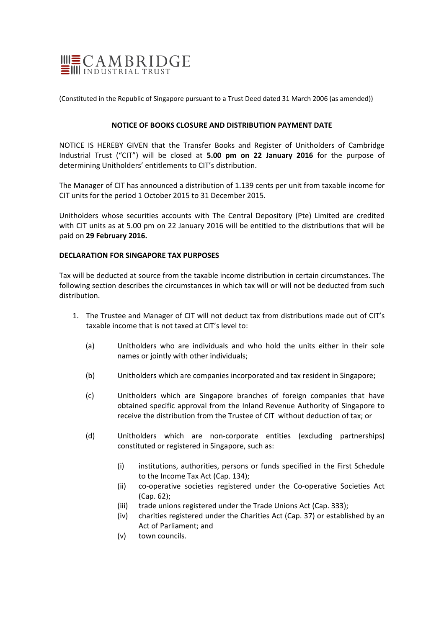

(Constituted in the Republic of Singapore pursuant to a Trust Deed dated 31 March 2006 (as amended))

# **NOTICE OF BOOKS CLOSURE AND DISTRIBUTION PAYMENT DATE**

NOTICE IS HEREBY GIVEN that the Transfer Books and Register of Unitholders of Cambridge Industrial Trust ("CIT") will be closed at **5.00 pm on 22 January 2016** for the purpose of determining Unitholders' entitlements to CIT's distribution.

The Manager of CIT has announced a distribution of 1.139 cents per unit from taxable income for CIT units for the period 1 October 2015 to 31 December 2015.

Unitholders whose securities accounts with The Central Depository (Pte) Limited are credited with CIT units as at 5.00 pm on 22 January 2016 will be entitled to the distributions that will be paid on **29 February 2016.**

# **DECLARATION FOR SINGAPORE TAX PURPOSES**

Tax will be deducted at source from the taxable income distribution in certain circumstances. The following section describes the circumstances in which tax will or will not be deducted from such distribution.

- 1. The Trustee and Manager of CIT will not deduct tax from distributions made out of CIT's taxable income that is not taxed at CIT's level to:
	- (a) Unitholders who are individuals and who hold the units either in their sole names or jointly with other individuals;
	- (b) Unitholders which are companies incorporated and tax resident in Singapore;
	- (c) Unitholders which are Singapore branches of foreign companies that have obtained specific approval from the Inland Revenue Authority of Singapore to receive the distribution from the Trustee of CIT without deduction of tax; or
	- (d) Unitholders which are non‐corporate entities (excluding partnerships) constituted or registered in Singapore, such as:
		- (i) institutions, authorities, persons or funds specified in the First Schedule to the Income Tax Act (Cap. 134);
		- (ii) co‐operative societies registered under the Co‐operative Societies Act (Cap. 62);
		- (iii) trade unions registered under the Trade Unions Act (Cap. 333);
		- (iv) charities registered under the Charities Act (Cap. 37) or established by an Act of Parliament; and
		- (v) town councils.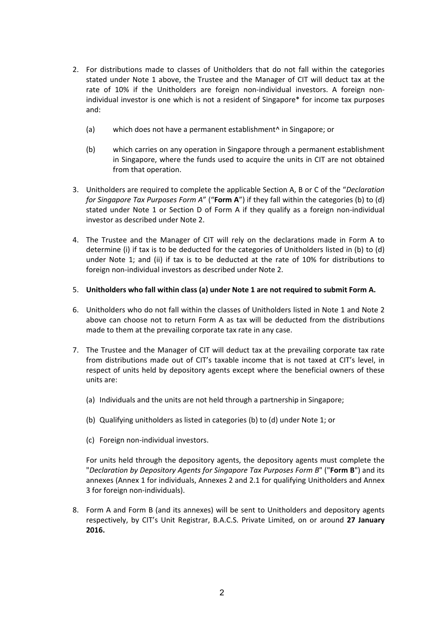- 2. For distributions made to classes of Unitholders that do not fall within the categories stated under Note 1 above, the Trustee and the Manager of CIT will deduct tax at the rate of 10% if the Unitholders are foreign non-individual investors. A foreign nonindividual investor is one which is not a resident of Singapore\* for income tax purposes and:
	- (a) which does not have a permanent establishment^ in Singapore; or
	- (b) which carries on any operation in Singapore through a permanent establishment in Singapore, where the funds used to acquire the units in CIT are not obtained from that operation.
- 3. Unitholders are required to complete the applicable Section A, B or C of the "*Declaration for Singapore Tax Purposes Form A*" ("**Form A**") if they fall within the categories (b) to (d) stated under Note 1 or Section D of Form A if they qualify as a foreign non-individual investor as described under Note 2.
- 4. The Trustee and the Manager of CIT will rely on the declarations made in Form A to determine (i) if tax is to be deducted for the categories of Unitholders listed in (b) to (d) under Note 1; and (ii) if tax is to be deducted at the rate of 10% for distributions to foreign non‐individual investors as described under Note 2.

# 5. **Unitholders who fall within class (a) under Note 1 are not required to submit Form A.**

- 6. Unitholders who do not fall within the classes of Unitholders listed in Note 1 and Note 2 above can choose not to return Form A as tax will be deducted from the distributions made to them at the prevailing corporate tax rate in any case.
- 7. The Trustee and the Manager of CIT will deduct tax at the prevailing corporate tax rate from distributions made out of CIT's taxable income that is not taxed at CIT's level, in respect of units held by depository agents except where the beneficial owners of these units are:
	- (a) Individuals and the units are not held through a partnership in Singapore;
	- (b) Qualifying unitholders as listed in categories (b) to (d) under Note 1; or
	- (c) Foreign non‐individual investors.

For units held through the depository agents, the depository agents must complete the "*Declaration by Depository Agents for Singapore Tax Purposes Form B*" ("**Form B**") and its annexes (Annex 1 for individuals, Annexes 2 and 2.1 for qualifying Unitholders and Annex 3 for foreign non‐individuals).

8. Form A and Form B (and its annexes) will be sent to Unitholders and depository agents respectively, by CIT's Unit Registrar, B.A.C.S. Private Limited, on or around **27 January 2016.**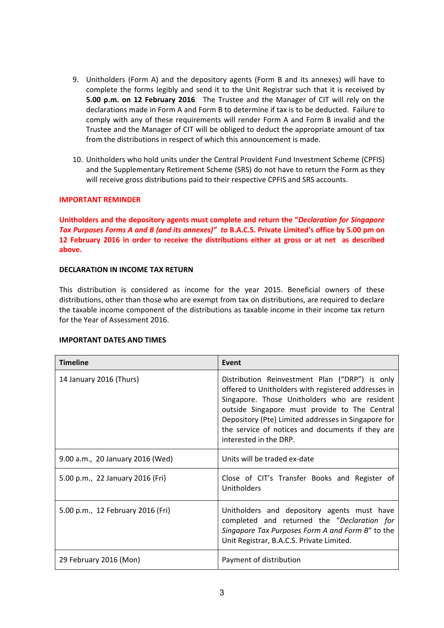- 9. Unitholders (Form A) and the depository agents (Form B and its annexes) will have to complete the forms legibly and send it to the Unit Registrar such that it is received by **5.00 p.m. on 12 February 2016**. The Trustee and the Manager of CIT will rely on the declarations made in Form A and Form B to determine if tax is to be deducted. Failure to comply with any of these requirements will render Form A and Form B invalid and the Trustee and the Manager of CIT will be obliged to deduct the appropriate amount of tax from the distributions in respect of which this announcement is made.
- 10. Unitholders who hold units under the Central Provident Fund Investment Scheme (CPFIS) and the Supplementary Retirement Scheme (SRS) do not have to return the Form as they will receive gross distributions paid to their respective CPFIS and SRS accounts.

# **IMPORTANT REMINDER**

**Unitholders and the depository agents must complete and return the "***Declaration for Singapore* Tax Purposes Forms A and B (and its annexes)" to B.A.C.S. Private Limited's office by 5.00 pm on **12 February 2016 in order to receive the distributions either at gross or at net as described above.**

## **DECLARATION IN INCOME TAX RETURN**

This distribution is considered as income for the year 2015. Beneficial owners of these distributions, other than those who are exempt from tax on distributions, are required to declare the taxable income component of the distributions as taxable income in their income tax return for the Year of Assessment 2016.

## **IMPORTANT DATES AND TIMES**

| <b>Timeline</b>                   | Event                                                                                                                                                                                                                                                                                                                                        |
|-----------------------------------|----------------------------------------------------------------------------------------------------------------------------------------------------------------------------------------------------------------------------------------------------------------------------------------------------------------------------------------------|
| 14 January 2016 (Thurs)           | Distribution Reinvestment Plan ("DRP") is only<br>offered to Unitholders with registered addresses in<br>Singapore. Those Unitholders who are resident<br>outside Singapore must provide to The Central<br>Depository (Pte) Limited addresses in Singapore for<br>the service of notices and documents if they are<br>interested in the DRP. |
| 9.00 a.m., 20 January 2016 (Wed)  | Units will be traded ex-date                                                                                                                                                                                                                                                                                                                 |
| 5.00 p.m., 22 January 2016 (Fri)  | Close of CIT's Transfer Books and Register of<br>Unitholders                                                                                                                                                                                                                                                                                 |
| 5.00 p.m., 12 February 2016 (Fri) | Unitholders and depository agents must have<br>completed and returned the "Declaration for<br>Singapore Tax Purposes Form A and Form B" to the<br>Unit Registrar, B.A.C.S. Private Limited.                                                                                                                                                  |
| 29 February 2016 (Mon)            | Payment of distribution                                                                                                                                                                                                                                                                                                                      |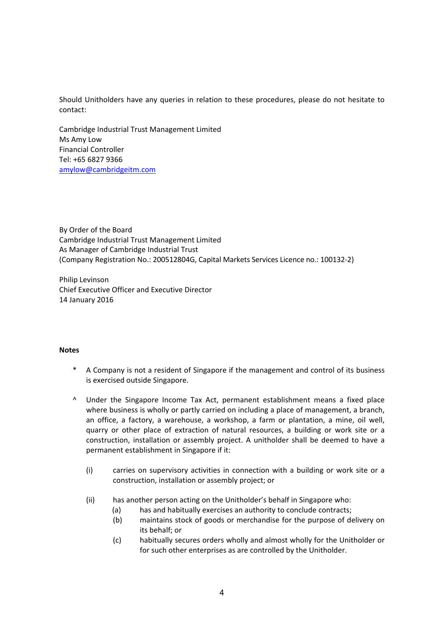Should Unitholders have any queries in relation to these procedures, please do not hesitate to contact:

Cambridge Industrial Trust Management Limited Ms Amy Low Financial Controller Tel: +65 6827 9366 amylow@cambridgeitm.com

By Order of the Board Cambridge Industrial Trust Management Limited As Manager of Cambridge Industrial Trust (Company Registration No.: 200512804G, Capital Markets Services Licence no.: 100132‐2)

Philip Levinson Chief Executive Officer and Executive Director 14 January 2016

## **Notes**

- A Company is not a resident of Singapore if the management and control of its business is exercised outside Singapore.
- ^ Under the Singapore Income Tax Act, permanent establishment means a fixed place where business is wholly or partly carried on including a place of management, a branch, an office, a factory, a warehouse, a workshop, a farm or plantation, a mine, oil well, quarry or other place of extraction of natural resources, a building or work site or a construction, installation or assembly project. A unitholder shall be deemed to have a permanent establishment in Singapore if it:
	- (i) carries on supervisory activities in connection with a building or work site or a construction, installation or assembly project; or
	- (ii) has another person acting on the Unitholder's behalf in Singapore who:
		- (a) has and habitually exercises an authority to conclude contracts;
		- (b) maintains stock of goods or merchandise for the purpose of delivery on its behalf; or
		- (c) habitually secures orders wholly and almost wholly for the Unitholder or for such other enterprises as are controlled by the Unitholder.